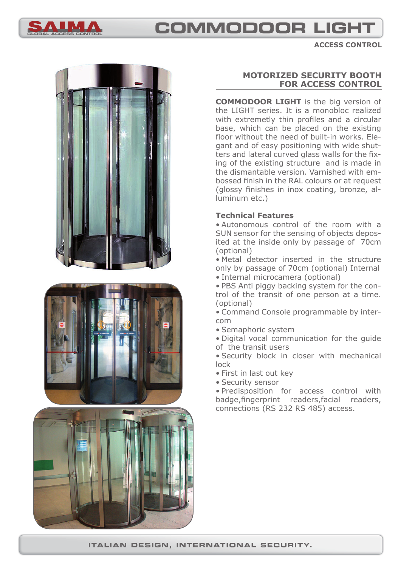

# **COMMODOOR LIGHT**

**ACCESS CONTROL**







# **MOTORIZED SECURITY BOOTH FOR ACCESS CONTROL**

**COMMODOOR LIGHT** is the big version of the LIGHT series. It is a monobloc realized with extremetly thin profiles and a circular base, which can be placed on the existing floor without the need of built-in works. Elegant and of easy positioning with wide shutters and lateral curved glass walls for the fixing of the existing structure and is made in the dismantable version. Varnished with embossed finish in the RAL colours or at request (glossy finishes in inox coating, bronze, alluminum etc.)

## **Technical Features**

• Autonomous control of the room with a SUN sensor for the sensing of objects deposited at the inside only by passage of 70cm (optional)

• Metal detector inserted in the structure only by passage of 70cm (optional) Internal

• Internal microcamera (optional)

• PBS Anti piggy backing system for the control of the transit of one person at a time. (optional)

• Command Console programmable by intercom

• Semaphoric system

• Digital vocal communication for the guide of the transit users

• Security block in closer with mechanical lock

- First in last out key
- Security sensor

• Predisposition for access control with badge, fingerprint readers, facial readers, connections (RS 232 RS 485) access.